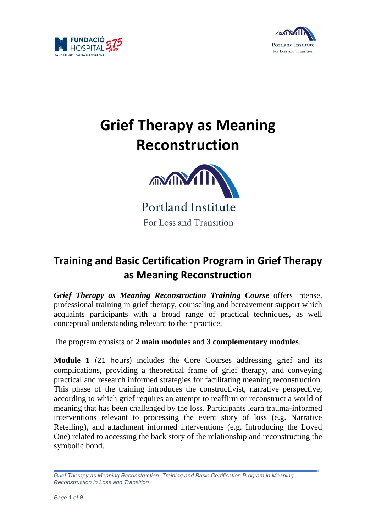



# **Grief Therapy as Meaning Reconstruction**



## **Training and Basic Certification Program in Grief Therapy as Meaning Reconstruction**

*Grief Therapy as Meaning Reconstruction Training Course* offers intense, professional training in grief therapy, counseling and bereavement support which acquaints participants with a broad range of practical techniques, as well conceptual understanding relevant to their practice.

The program consists of **2 main modules** and **3 complementary modules**.

**Module 1** (21 hours) includes the Core Courses addressing grief and its complications, providing a theoretical frame of grief therapy, and conveying practical and research informed strategies for facilitating meaning reconstruction. This phase of the training introduces the constructivist, narrative perspective, according to which grief requires an attempt to reaffirm or reconstruct a world of meaning that has been challenged by the loss. Participants learn trauma-informed interventions relevant to processing the event story of loss (e.g. Narrative Retelling), and attachment informed interventions (e.g. Introducing the Loved One) related to accessing the back story of the relationship and reconstructing the symbolic bond.

*Grief Therapy as Meaning Reconstruction. Training and Basic Certification Program in Meaning Reconstruction in Loss and Transition*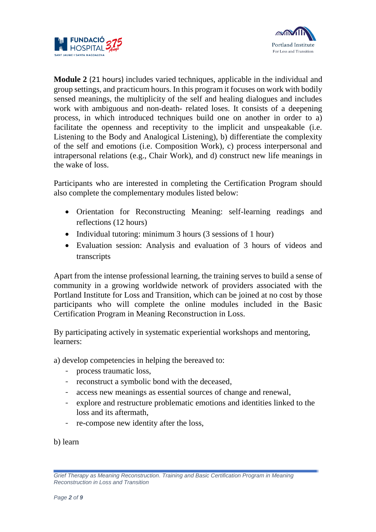



**Module 2** (21 hours) includes varied techniques, applicable in the individual and group settings, and practicum hours. In this program it focuses on work with bodily sensed meanings, the multiplicity of the self and healing dialogues and includes work with ambiguous and non-death- related loses. It consists of a deepening process, in which introduced techniques build one on another in order to a) facilitate the openness and receptivity to the implicit and unspeakable (i.e. Listening to the Body and Analogical Listening), b) differentiate the complexity of the self and emotions (i.e. Composition Work), c) process interpersonal and intrapersonal relations (e.g., Chair Work), and d) construct new life meanings in the wake of loss.

Participants who are interested in completing the Certification Program should also complete the complementary modules listed below:

- Orientation for Reconstructing Meaning: self-learning readings and reflections (12 hours)
- Individual tutoring: minimum 3 hours (3 sessions of 1 hour)
- Evaluation session: Analysis and evaluation of 3 hours of videos and transcripts

Apart from the intense professional learning, the training serves to build a sense of community in a growing worldwide network of providers associated with the Portland Institute for Loss and Transition, which can be joined at no cost by those participants who will complete the online modules included in the Basic Certification Program in Meaning Reconstruction in Loss.

By participating actively in systematic experiential workshops and mentoring, learners:

a) develop competencies in helping the bereaved to:

- process traumatic loss,
- reconstruct a symbolic bond with the deceased,
- access new meanings as essential sources of change and renewal,
- explore and restructure problematic emotions and identities linked to the loss and its aftermath,
- re-compose new identity after the loss,

b) learn

*Grief Therapy as Meaning Reconstruction. Training and Basic Certification Program in Meaning Reconstruction in Loss and Transition*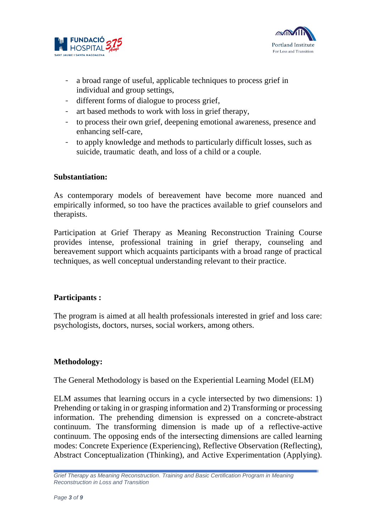



- a broad range of useful, applicable techniques to process grief in individual and group settings,
- different forms of dialogue to process grief,
- art based methods to work with loss in grief therapy,
- to process their own grief, deepening emotional awareness, presence and enhancing self-care,
- to apply knowledge and methods to particularly difficult losses, such as suicide, traumatic death, and loss of a child or a couple.

### **Substantiation:**

As contemporary models of bereavement have become more nuanced and empirically informed, so too have the practices available to grief counselors and therapists.

Participation at Grief Therapy as Meaning Reconstruction Training Course provides intense, professional training in grief therapy, counseling and bereavement support which acquaints participants with a broad range of practical techniques, as well conceptual understanding relevant to their practice.

### **Participants :**

The program is aimed at all health professionals interested in grief and loss care: psychologists, doctors, nurses, social workers, among others.

### **Methodology:**

The General Methodology is based on the Experiential Learning Model (ELM)

ELM assumes that learning occurs in a cycle intersected by two dimensions: 1) Prehending or taking in or grasping information and 2) Transforming or processing information. The prehending dimension is expressed on a concrete-abstract continuum. The transforming dimension is made up of a reflective-active continuum. The opposing ends of the intersecting dimensions are called learning modes: Concrete Experience (Experiencing), Reflective Observation (Reflecting), Abstract Conceptualization (Thinking), and Active Experimentation (Applying).

*Grief Therapy as Meaning Reconstruction. Training and Basic Certification Program in Meaning Reconstruction in Loss and Transition*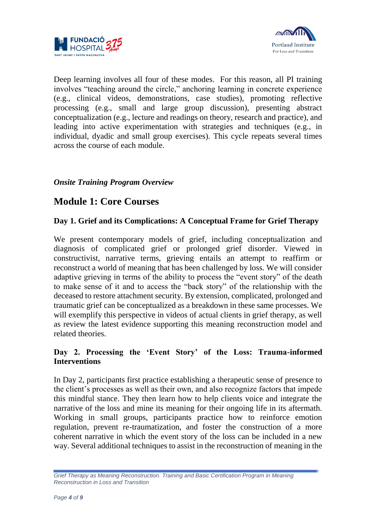



Deep learning involves all four of these modes. For this reason, all PI training involves "teaching around the circle," anchoring learning in concrete experience (e.g., clinical videos, demonstrations, case studies), promoting reflective processing (e.g., small and large group discussion), presenting abstract conceptualization (e.g., lecture and readings on theory, research and practice), and leading into active experimentation with strategies and techniques (e.g., in individual, dyadic and small group exercises). This cycle repeats several times across the course of each module.

### *Onsite Training Program Overview*

### **Module 1: Core Courses**

### **Day 1. Grief and its Complications: A Conceptual Frame for Grief Therapy**

We present contemporary models of grief, including conceptualization and diagnosis of complicated grief or prolonged grief disorder. Viewed in constructivist, narrative terms, grieving entails an attempt to reaffirm or reconstruct a world of meaning that has been challenged by loss. We will consider adaptive grieving in terms of the ability to process the "event story" of the death to make sense of it and to access the "back story" of the relationship with the deceased to restore attachment security. By extension, complicated, prolonged and traumatic grief can be conceptualized as a breakdown in these same processes. We will exemplify this perspective in videos of actual clients in grief therapy, as well as review the latest evidence supporting this meaning reconstruction model and related theories.

### **Day 2. Processing the 'Event Story' of the Loss: Trauma-informed Interventions**

In Day 2, participants first practice establishing a therapeutic sense of presence to the client's processes as well as their own, and also recognize factors that impede this mindful stance. They then learn how to help clients voice and integrate the narrative of the loss and mine its meaning for their ongoing life in its aftermath. Working in small groups, participants practice how to reinforce emotion regulation, prevent re-traumatization, and foster the construction of a more coherent narrative in which the event story of the loss can be included in a new way. Several additional techniques to assist in the reconstruction of meaning in the

*Grief Therapy as Meaning Reconstruction. Training and Basic Certification Program in Meaning Reconstruction in Loss and Transition*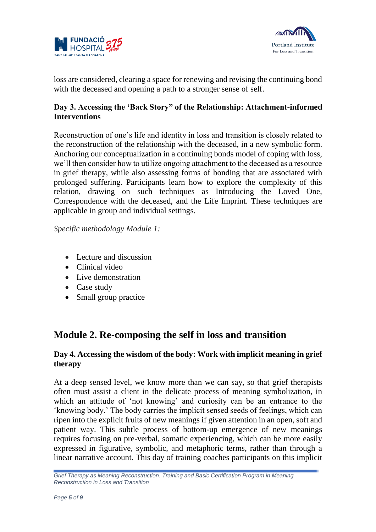



loss are considered, clearing a space for renewing and revising the continuing bond with the deceased and opening a path to a stronger sense of self.

### **Day 3. Accessing the 'Back Story" of the Relationship: Attachment-informed Interventions**

Reconstruction of one's life and identity in loss and transition is closely related to the reconstruction of the relationship with the deceased, in a new symbolic form. Anchoring our conceptualization in a continuing bonds model of coping with loss, we'll then consider how to utilize ongoing attachment to the deceased as a resource in grief therapy, while also assessing forms of bonding that are associated with prolonged suffering. Participants learn how to explore the complexity of this relation, drawing on such techniques as Introducing the Loved One, Correspondence with the deceased, and the Life Imprint. These techniques are applicable in group and individual settings.

*Specific methodology Module 1:* 

- Lecture and discussion
- Clinical video
- Live demonstration
- Case study
- Small group practice

### **Module 2. Re-composing the self in loss and transition**

### **Day 4. Accessing the wisdom of the body: Work with implicit meaning in grief therapy**

At a deep sensed level, we know more than we can say, so that grief therapists often must assist a client in the delicate process of meaning symbolization, in which an attitude of 'not knowing' and curiosity can be an entrance to the 'knowing body.' The body carries the implicit sensed seeds of feelings, which can ripen into the explicit fruits of new meanings if given attention in an open, soft and patient way. This subtle process of bottom-up emergence of new meanings requires focusing on pre-verbal, somatic experiencing, which can be more easily expressed in figurative, symbolic, and metaphoric terms, rather than through a linear narrative account. This day of training coaches participants on this implicit

*Grief Therapy as Meaning Reconstruction. Training and Basic Certification Program in Meaning Reconstruction in Loss and Transition*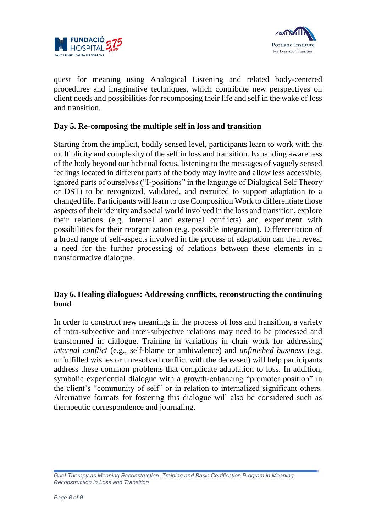



quest for meaning using Analogical Listening and related body-centered procedures and imaginative techniques, which contribute new perspectives on client needs and possibilities for recomposing their life and self in the wake of loss and transition.

### **Day 5. Re-composing the multiple self in loss and transition**

Starting from the implicit, bodily sensed level, participants learn to work with the multiplicity and complexity of the self in loss and transition. Expanding awareness of the body beyond our habitual focus, listening to the messages of vaguely sensed feelings located in different parts of the body may invite and allow less accessible, ignored parts of ourselves ("I-positions" in the language of Dialogical Self Theory or DST) to be recognized, validated, and recruited to support adaptation to a changed life. Participants will learn to use Composition Work to differentiate those aspects of their identity and social world involved in the loss and transition, explore their relations (e.g. internal and external conflicts) and experiment with possibilities for their reorganization (e.g. possible integration). Differentiation of a broad range of self-aspects involved in the process of adaptation can then reveal a need for the further processing of relations between these elements in a transformative dialogue.

### **Day 6. Healing dialogues: Addressing conflicts, reconstructing the continuing bond**

In order to construct new meanings in the process of loss and transition, a variety of intra-subjective and inter-subjective relations may need to be processed and transformed in dialogue. Training in variations in chair work for addressing *internal conflict* (e.g., self-blame or ambivalence) and *unfinished business* (e.g. unfulfilled wishes or unresolved conflict with the deceased) will help participants address these common problems that complicate adaptation to loss. In addition, symbolic experiential dialogue with a growth-enhancing "promoter position" in the client's "community of self" or in relation to internalized significant others. Alternative formats for fostering this dialogue will also be considered such as therapeutic correspondence and journaling.

*Grief Therapy as Meaning Reconstruction. Training and Basic Certification Program in Meaning Reconstruction in Loss and Transition*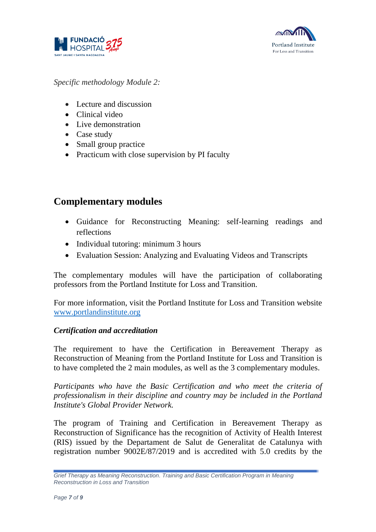



*Specific methodology Module 2:*

- Lecture and discussion
- Clinical video
- Live demonstration
- Case study
- Small group practice
- Practicum with close supervision by PI faculty

### **Complementary modules**

- Guidance for Reconstructing Meaning: self-learning readings and reflections
- Individual tutoring: minimum 3 hours
- Evaluation Session: Analyzing and Evaluating Videos and Transcripts

The complementary modules will have the participation of collaborating professors from the Portland Institute for Loss and Transition.

For more information, visit the Portland Institute for Loss and Transition website [www.portlandinstitute.org](http://www.portlandinstitute.org/)

### *Certification and accreditation*

The requirement to have the Certification in Bereavement Therapy as Reconstruction of Meaning from the Portland Institute for Loss and Transition is to have completed the 2 main modules, as well as the 3 complementary modules.

*Participants who have the Basic Certification and who meet the criteria of professionalism in their discipline and country may be included in the Portland Institute's Global Provider Network.*

The program of Training and Certification in Bereavement Therapy as Reconstruction of Significance has the recognition of Activity of Health Interest (RIS) issued by the Departament de Salut de Generalitat de Catalunya with registration number 9002E/87/2019 and is accredited with 5.0 credits by the

*Grief Therapy as Meaning Reconstruction. Training and Basic Certification Program in Meaning Reconstruction in Loss and Transition*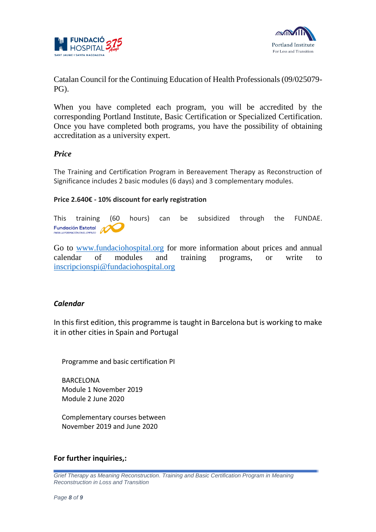



Catalan Council for the Continuing Education of Health Professionals (09/025079- PG).

When you have completed each program, you will be accredited by the corresponding Portland Institute, Basic Certification or Specialized Certification. Once you have completed both programs, you have the possibility of obtaining accreditation as a university expert.

### *Price*

The Training and Certification Program in Bereavement Therapy as Reconstruction of Significance includes 2 basic modules (6 days) and 3 complementary modules.

#### **Price 2.640€ - 10% discount for early registration**

This training (60 hours) can be subsidized through the FUNDAE. **Fundación Estatal** 

Go to [www.fundaciohospital.org](http://www.fundaciohospital.org/) for more information about prices and annual calendar of modules and training programs, or write to [inscripcionspi@fundaciohospital.org](mailto:inscripcionspi@fundaciohospital.org)

#### *Calendar*

In this first edition, this programme is taught in Barcelona but is working to make it in other cities in Spain and Portugal

Programme and basic certification PI

BARCELONA Module 1 November 2019 Module 2 June 2020

Complementary courses between November 2019 and June 2020

#### **For further inquiries,:**

*Grief Therapy as Meaning Reconstruction. Training and Basic Certification Program in Meaning Reconstruction in Loss and Transition*